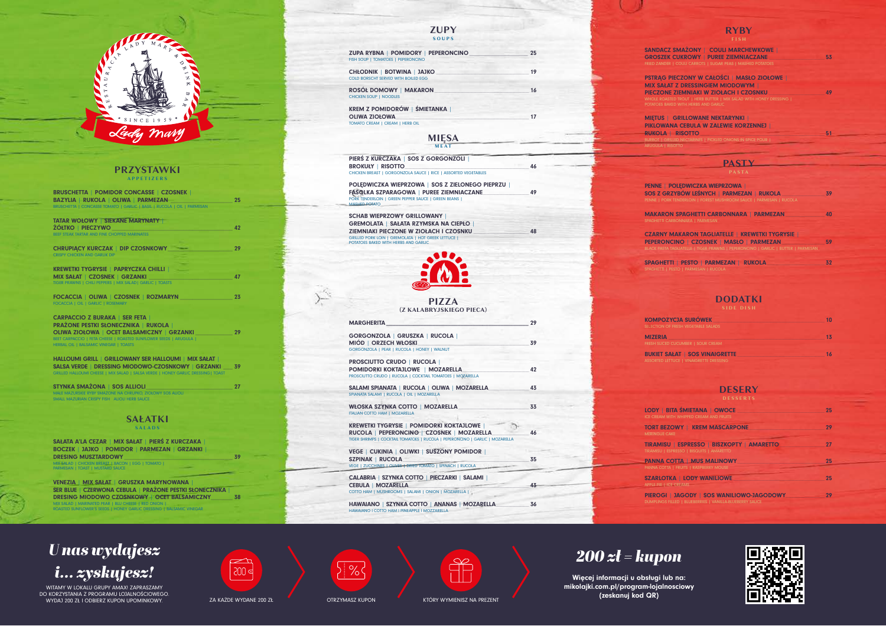

### **PRZYSTAWKI APPETIZERS**

| BRUSCHETTA   POMIDOR CONCASSE   CZOSNEK  <br>BAZYLIA   RUKOLA   OLIWA   PARMEZAN<br>BRUSCHETTA   CONCASSE TOMATO   GARLIC   BASIL   RUCOLA   OIL   PARMESAN | 25 |
|-------------------------------------------------------------------------------------------------------------------------------------------------------------|----|
| <b>TATAR WOŁOWY   SIEKANE MARYNATY  </b><br>ŻÓŁTKO   PIECZYWO<br>BEEF STEAK TARTAR AND FINE CHOPPED MARINATES                                               | 42 |
| <b>CHRUPIACY KURCZAK   DIP CZOSNKOWY</b><br><b>CRISPY CHICKEN AND GARLIK DIP</b>                                                                            | 29 |
| <b>KREWETKI TYGRYSIE   PAPRYCZKA CHILLI  </b><br>MIX SAŁAT   CZOSNEK   GRZANKI<br>TIGER PRAWNS   CHILI PEPPERS   MIX SALAD   GARLIC   TOASTS                | 47 |
| FOCACCIA   OLIWA   CZOSNEK   ROZMARYN<br>FOCACCIA   OIL   GARLIC   ROSEMARY                                                                                 | 23 |
| <b>CARPACCIO Z BURAKA   SER FETA  </b><br><b>PRAŻONE PESTKI SŁONECZNIKA   RUKOLA  </b><br>OLIWA ZIOŁOWA   OCET BALSAMICZNY   GRZANKI                        | 29 |

HALLOUMI GRILL | GRILLOWANY SER HALLOUMI | MIX SAŁAT | SALSA VERDE | DRESSING MIODOWO-CZOSNKOWY | GRZANKI \_\_\_ 39 LOUMI CHEESE | MIX SALAD | SALSA VERDE | HONEY

PIERŚ Z KURCZAKA | SOS Z GORGONZOLI | BROKUŁY | RISOTTO\_\_\_\_\_\_\_\_\_\_\_\_\_\_\_\_\_\_\_\_\_\_\_\_\_\_\_\_\_\_\_\_\_\_\_\_\_\_\_\_\_\_\_\_\_\_\_\_\_\_\_\_\_\_\_\_\_\_\_\_\_\_\_\_\_\_\_ 46 CHICKEN BREAST | GORGONZOLA SAUCE | RICE | ASSORTED VEGETABLES

OLIWA ZIOŁOWA | OCET BALSAMICZNY | GRZANKI \_\_\_\_\_\_\_\_\_\_\_\_ 29 BEET CARPACCIO | FETA CHEESE | ROASTED SUNFLOWER SEEDS | ARUGULA | HERBAL OIL | BALSAMIC VINEGAR | TOASTS

SCHAB WIEPRZOWY GRILLOWANY | GREMOLATA | SAŁATA RZYMSKA NA CIEPŁO | ZIEMNIAKI PIECZONE W ZIOŁACH I CZOSNKU \_\_\_\_\_\_\_\_\_\_\_\_\_\_\_\_\_\_\_\_\_\_\_\_\_\_\_\_\_\_ 48 GRILLED PORK LOIN | GREMOLATA | HOT GREEK LETTUCE | POTATOES BAKED WITH HERBS AND GARLIC



STYNKA SMAŻONA | SOS ALLIOLI\_\_\_\_\_\_\_\_\_\_\_\_\_\_\_\_\_\_\_\_\_\_\_\_\_\_\_\_ 27 MAŁE MAZURSKIE RYBY SMAŻONE NA CHRUPKO, ZIOŁOWY SOS ALIOLI SMALL MAZURIAN CRISPY FISH ALIOLI HERB SAUCE

**MIĘSA M E AT** 

POLĘDWICZKA WIEPRZOWA | SOS Z ZIELONEGO PIEPRZU | FASOLKA SZPARAGOWA | PUREE ZIEMNIACZANE\_\_\_\_\_\_\_\_\_\_\_\_\_\_\_\_\_\_\_\_\_\_\_\_\_ 49 PORK TENDERLOIN | GREEN PEPPER SAUCE | GREEN BEANS | MASHED POTATO

### **ZUPY SOUPS**

| ZUPA RYBNA   POMIDORY   PEPERONCINO<br>FISH SOUP   TOMATOES   PEPERONCINO                 | 25 |
|-------------------------------------------------------------------------------------------|----|
| <b>CHŁODNIK   BOTWINA   JAJKO</b><br>COLD BORSCHT SERVED WITH BOILED EGG                  | 19 |
| ROSÓŁ DOMOWY   MAKARON<br><b>CHICKEN SOUP   NOODLES</b>                                   | 16 |
| KREM Z POMIDORÓW   ŚMIETANKA  <br><b>OLIWA ZIOŁOWA</b><br>TOMATO CREAM   CREAM   HERB OIL | 17 |

#### **SAŁATKI SALADS**

#### SAŁATA A'LA CEZAR | MIX SAŁAT | PIERŚ Z KURCZAKA BOCZEK | JAJKO | POMIDOR | PARMEZAN | GRZANKI | DRESING MUSZTARDOWY

MIX SALAD | CHICKEN BREAST | BACON | EGG | TOMATO | PARMESAN | TOAST | MUSTARD SAUCE

VENEZIA | MIX SAŁAT | GRUSZKA MARYNOWANA | SER BLUE | CZERWONA CEBULA | PRAŻONE PESTKI SŁONECZNIKA | DRESING MIODOWO CZOSNKOWY | OCET BALSAMICZNY\_\_\_\_\_\_\_\_ 38 MIX SALAD | MARINATED PEAR | BLU CHEESE | RED ONION | ROASTED SUNFLOWER'S SEEDS | HONEY GARLIC DRESSING | BALSAMIC VINEGAR

### **RYBY F I S H**

| <b>SANDACZ SMAŻONY   COULI MARCHEWKOWE  </b><br><b>GROSZEK CUKROWY   PUREE ZIEMNIACZANE</b><br>FRIED ZANDER   COULI CARROTS   SUGAR PEAS   MASHED POTATOES                                                                                        | 53 |
|---------------------------------------------------------------------------------------------------------------------------------------------------------------------------------------------------------------------------------------------------|----|
| PSTRĄG PIECZONY W CAŁOŚCI   MASŁO ZIOŁOWE  <br><b>MIX SAŁAT Z DRESSINGIEM MIODOWYM  </b><br>PIECZONE ZIEMNIAKI W ZIOŁACH I CZOSNKU<br>WHOLE ROASTED TROUT   HERB BUTTER   MIX SALAD WITH HONEY DRESSING  <br>POTATOES BAKED WITH HERBS AND GARLIC | 49 |
| <b>MIETUS   GRILLOWANE NEKTARYNKI  </b><br>PIKLOWANA CEBULA W ZALEWIE KORZENNEJ  <br><b>RUKOLA RISOTTO</b><br>BURBOT   GRILLED NECTARINES   PICKLED ONIONS IN SPICE POUR  <br><b>ARUGULA I RISOTTO</b>                                            | 51 |

WITAMY W LOKALU GRUPY AMAX! ZAPRASZAMY DO KORZYSTANIA Z PROGRAMU LOJALNOŚCIOWEGO. WYDAJ 200 ZŁ I ODBIERZ KUPON UPOMINKOWY. ZA KAŻDE WYDANE 200 ZŁ Z OTRZYMASZ KUPON KTÓRY WYMIENISZ NA PREZENT





 $\begin{picture}(42,10) \put(0,0){\line(1,0){10}} \put(15,0){\line(1,0){10}} \put(15,0){\line(1,0){10}} \put(15,0){\line(1,0){10}} \put(15,0){\line(1,0){10}} \put(15,0){\line(1,0){10}} \put(15,0){\line(1,0){10}} \put(15,0){\line(1,0){10}} \put(15,0){\line(1,0){10}} \put(15,0){\line(1,0){10}} \put(15,0){\line(1,0){10}} \put(15,0){\line(1$ 

| <b>PENNE   POLEDWICZKA WIEPRZOWA  </b>                                                                                                                                                   |      |
|------------------------------------------------------------------------------------------------------------------------------------------------------------------------------------------|------|
| SOS Z GRZYBÓW LEŚNYCH   PARMEZAN   RUKOLA<br>PENNE   PORK TENDERLOIN   FOREST MUSHROOM SAUCE   PARMESAN   RUCOLA                                                                         | 39   |
| <b>MAKARON SPAGHETTI CARBONNARA   PARMEZAN</b><br>SPAGHETTI CARBONNARA   PARMESAN                                                                                                        | 40   |
| <b>CZARNY MAKARON TAGLIATELLE   KREWETKI TYGRYSIE  </b><br>PEPERONCINO   CZOSNEK   MASŁO   PARMEZAN<br>BLACK PASTA TAGLIATELLE   TIGER PRAWNS   PEPERONCINO   GARLIC   BUTTER   PARMESAN | - 59 |
| SPAGHETTI   PESTO   PARMEZAN   RUKOLA<br>SPAGHETTI   PESTO   PARMESAN   RUCOLA                                                                                                           | 32   |

**PIZZA (Z KALABRYJSKIEGO PIECA)**

| <b>MARGHERITA</b>                                                                                                                                                                | 29 |
|----------------------------------------------------------------------------------------------------------------------------------------------------------------------------------|----|
| GORGONZOLA   GRUSZKA   RUCOLA  <br>MIÓD   ORZECH WŁOSKI<br>GORGONZOLA   PEAR   RUCOLA   HONEY   WALNUT                                                                           | 39 |
| <b>PROSCIUTTO CRUDO   RUCOLA  </b><br>POMIDORKI KOKTAJLOWE   MOZARELLA<br>PROSCIUTTO CRUDO   RUCOLA   COCKTAIL TOMATOES   MOZARELLA                                              | 42 |
| SALAMI SPIANATA   RUCOLA   OLIWA   MOZARELLA<br>SPIANATA SALAMI   RUCOLA   OIL   MOZARELLA                                                                                       | 43 |
| WŁOSKA SZYNKA COTTO   MOZARELLA<br><b>ITALIAN COTTO HAM   MOZARELLA</b>                                                                                                          | 33 |
| <b>KREWETKI TYGRYSIE   POMIDORKI KOKTAJLOWE  </b><br>RUCOLA   PEPERONCINO   CZOSNEK   MOZARELLA<br>TIGER SHRIMPS   COCKTAIL TOMATOES   RUCOLA   PEPERONCINO   GARLIC   MOZARELLA | 46 |
| VEGE   CUKINIA   OLIWKI   SUSZONY POMIDOR  <br><b>SZPINAK   RUCOLA</b><br>VEGE   ZUCCHINES   OLIVES   DRIED TOMATO   SPINACH   RUCOLA                                            | 35 |
| CALABRIA   SZYNKA COTTO   PIECZARKI   SALAMI  <br><b>CEBULA   MOZARELLA</b><br>COTTO HAM   MUSHROOMS   SALAMI   ONION   MOZARELLA                                                | 43 |
| HAWAIANO   SZYNKA COTTO   ANANAS   MOZARELLA<br>HAWAIANO I COTTO HAM I PINEAPPLE I MOZZARELLA                                                                                    | 36 |

**DODATKI SIDE DISH**

| <b>KOMPOZYCJA SURÓWEK</b><br>SELECTION OF FRESH VEGETABLE SALADS | 10 |
|------------------------------------------------------------------|----|
| <b>MIZERIA</b>                                                   | 13 |
| FRESH SLICED CUCUMBER   SOUR CREAM                               |    |
| <b>BUKIET SAŁAT   SOS VINAIGRETTE</b>                            | 16 |
| ASSORTED LETTUCE   VINAIGRETTE DRESSING                          |    |

### **DESERY D E S S E R T S**

| LODY   BITA ŚMIETANA   OWOCE _<br><b>ICE CREAM WITH WHIPPED CREAM AND FRUITS</b>                      | 25 |
|-------------------------------------------------------------------------------------------------------|----|
| <b>TORT BEZOWY   KREM MASCARPONE</b><br><b>MERINGUE CAKE</b>                                          | 29 |
| TIRAMISU   ESPRESSO   BISZKOPTY   AMARETTO  <br>TIRAMISU   ESPRESSO   BISQUITS   AMARETTO             | 27 |
| <b>PANNA COTTA   MUS MALINOWY</b><br>PANNA COTTA   FRUITS   RASPBERRY MOUSE                           | 25 |
| <b>SZARLOTKA   LODY WANILIOWE</b><br>APPLE PIE   ICE CREAMS                                           | 25 |
| PIEROGI   JAGODY   SOS WANILIOWO-JAGODOWY<br>DUMPLINGS FILLED   BLUEBERRIES   VANILLA-BLUEBERRY SAUCE | 29 |

*200 zł = kupon*

Więcej informacji u obsługi lub na: mikolajki.com.pl/program-lojalnosciowy (zeskanuj kod QR)



# *U nas wydajesz i... zyskujesz!*